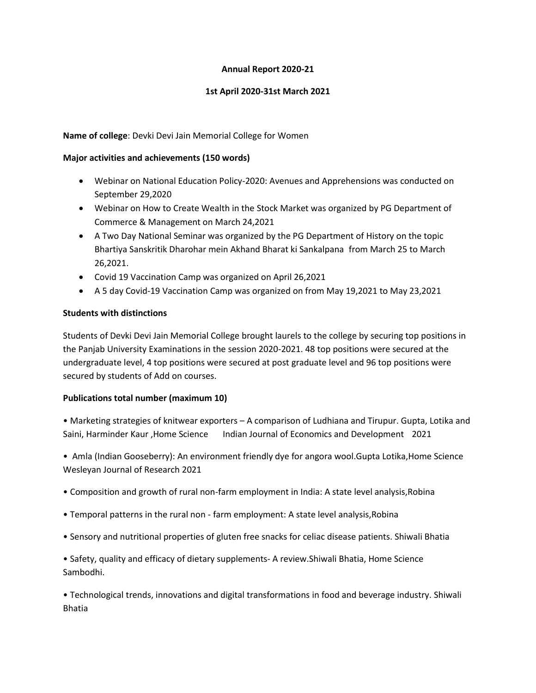# **Annual Report 2020-21**

## **1st April 2020-31st March 2021**

# **Name of college**: Devki Devi Jain Memorial College for Women

## **Major activities and achievements (150 words)**

- Webinar on National Education Policy-2020: Avenues and Apprehensions was conducted on September 29,2020
- Webinar on How to Create Wealth in the Stock Market was organized by PG Department of Commerce & Management on March 24,2021
- A Two Day National Seminar was organized by the PG Department of History on the topic Bhartiya Sanskritik Dharohar mein Akhand Bharat ki Sankalpana from March 25 to March 26,2021.
- Covid 19 Vaccination Camp was organized on April 26,2021
- A 5 day Covid-19 Vaccination Camp was organized on from May 19,2021 to May 23,2021

# **Students with distinctions**

Students of Devki Devi Jain Memorial College brought laurels to the college by securing top positions in the Panjab University Examinations in the session 2020-2021. 48 top positions were secured at the undergraduate level, 4 top positions were secured at post graduate level and 96 top positions were secured by students of Add on courses.

## **Publications total number (maximum 10)**

• Marketing strategies of knitwear exporters – A comparison of Ludhiana and Tirupur. Gupta, Lotika and Saini, Harminder Kaur ,Home Science Indian Journal of Economics and Development 2021

• Amla (Indian Gooseberry): An environment friendly dye for angora wool.Gupta Lotika,Home Science Wesleyan Journal of Research 2021

- Composition and growth of rural non-farm employment in India: A state level analysis,Robina
- Temporal patterns in the rural non farm employment: A state level analysis,Robina
- Sensory and nutritional properties of gluten free snacks for celiac disease patients. Shiwali Bhatia

• Safety, quality and efficacy of dietary supplements- A review.Shiwali Bhatia, Home Science Sambodhi.

• Technological trends, innovations and digital transformations in food and beverage industry. Shiwali Bhatia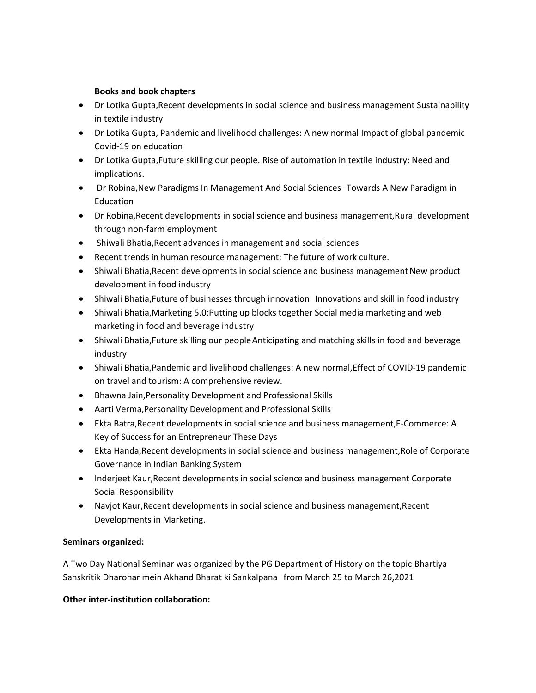# **Books and book chapters**

- Dr Lotika Gupta,Recent developments in social science and business management Sustainability in textile industry
- Dr Lotika Gupta, Pandemic and livelihood challenges: A new normal Impact of global pandemic Covid-19 on education
- Dr Lotika Gupta,Future skilling our people. Rise of automation in textile industry: Need and implications.
- Dr Robina,New Paradigms In Management And Social Sciences Towards A New Paradigm in Education
- Dr Robina,Recent developments in social science and business management,Rural development through non-farm employment
- Shiwali Bhatia,Recent advances in management and social sciences
- Recent trends in human resource management: The future of work culture.
- Shiwali Bhatia, Recent developments in social science and business management New product development in food industry
- Shiwali Bhatia,Future of businesses through innovation Innovations and skill in food industry
- Shiwali Bhatia,Marketing 5.0:Putting up blocks together Social media marketing and web marketing in food and beverage industry
- Shiwali Bhatia,Future skilling our peopleAnticipating and matching skills in food and beverage industry
- Shiwali Bhatia,Pandemic and livelihood challenges: A new normal,Effect of COVID-19 pandemic on travel and tourism: A comprehensive review.
- Bhawna Jain,Personality Development and Professional Skills
- Aarti Verma,Personality Development and Professional Skills
- Ekta Batra,Recent developments in social science and business management,E-Commerce: A Key of Success for an Entrepreneur These Days
- Ekta Handa,Recent developments in social science and business management,Role of Corporate Governance in Indian Banking System
- Inderjeet Kaur, Recent developments in social science and business management Corporate Social Responsibility
- Navjot Kaur,Recent developments in social science and business management,Recent Developments in Marketing.

# **Seminars organized:**

A Two Day National Seminar was organized by the PG Department of History on the topic Bhartiya Sanskritik Dharohar mein Akhand Bharat ki Sankalpana from March 25 to March 26,2021

## **Other inter-institution collaboration:**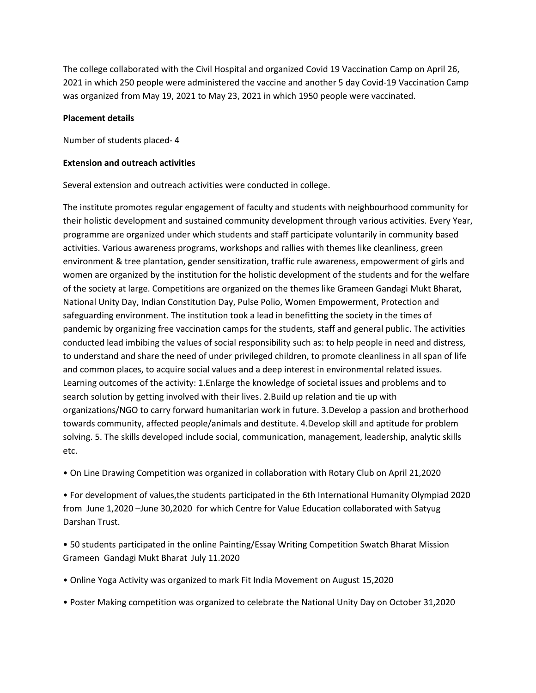The college collaborated with the Civil Hospital and organized Covid 19 Vaccination Camp on April 26, 2021 in which 250 people were administered the vaccine and another 5 day Covid-19 Vaccination Camp was organized from May 19, 2021 to May 23, 2021 in which 1950 people were vaccinated.

#### **Placement details**

Number of students placed- 4

#### **Extension and outreach activities**

Several extension and outreach activities were conducted in college.

The institute promotes regular engagement of faculty and students with neighbourhood community for their holistic development and sustained community development through various activities. Every Year, programme are organized under which students and staff participate voluntarily in community based activities. Various awareness programs, workshops and rallies with themes like cleanliness, green environment & tree plantation, gender sensitization, traffic rule awareness, empowerment of girls and women are organized by the institution for the holistic development of the students and for the welfare of the society at large. Competitions are organized on the themes like Grameen Gandagi Mukt Bharat, National Unity Day, Indian Constitution Day, Pulse Polio, Women Empowerment, Protection and safeguarding environment. The institution took a lead in benefitting the society in the times of pandemic by organizing free vaccination camps for the students, staff and general public. The activities conducted lead imbibing the values of social responsibility such as: to help people in need and distress, to understand and share the need of under privileged children, to promote cleanliness in all span of life and common places, to acquire social values and a deep interest in environmental related issues. Learning outcomes of the activity: 1.Enlarge the knowledge of societal issues and problems and to search solution by getting involved with their lives. 2.Build up relation and tie up with organizations/NGO to carry forward humanitarian work in future. 3.Develop a passion and brotherhood towards community, affected people/animals and destitute. 4.Develop skill and aptitude for problem solving. 5. The skills developed include social, communication, management, leadership, analytic skills etc.

• On Line Drawing Competition was organized in collaboration with Rotary Club on April 21,2020

• For development of values,the students participated in the 6th International Humanity Olympiad 2020 from June 1,2020 –June 30,2020 for which Centre for Value Education collaborated with Satyug Darshan Trust.

• 50 students participated in the online Painting/Essay Writing Competition Swatch Bharat Mission Grameen Gandagi Mukt Bharat July 11.2020

- Online Yoga Activity was organized to mark Fit India Movement on August 15,2020
- Poster Making competition was organized to celebrate the National Unity Day on October 31,2020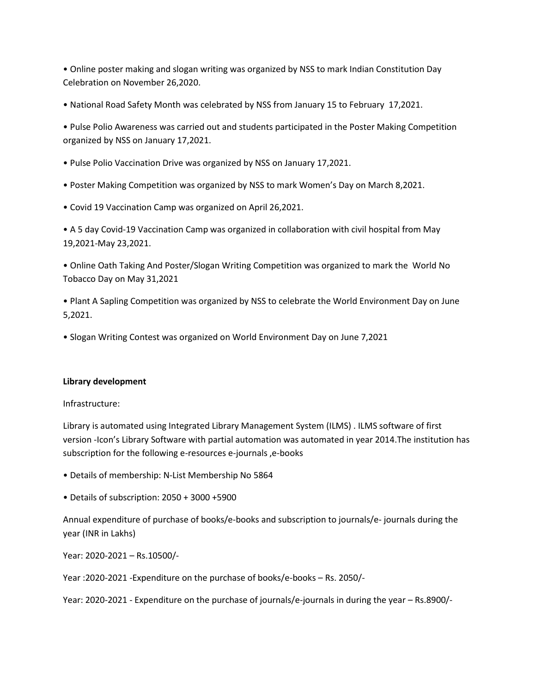• Online poster making and slogan writing was organized by NSS to mark Indian Constitution Day Celebration on November 26,2020.

• National Road Safety Month was celebrated by NSS from January 15 to February 17,2021.

• Pulse Polio Awareness was carried out and students participated in the Poster Making Competition organized by NSS on January 17,2021.

- Pulse Polio Vaccination Drive was organized by NSS on January 17,2021.
- Poster Making Competition was organized by NSS to mark Women's Day on March 8,2021.
- Covid 19 Vaccination Camp was organized on April 26,2021.

• A 5 day Covid-19 Vaccination Camp was organized in collaboration with civil hospital from May 19,2021-May 23,2021.

• Online Oath Taking And Poster/Slogan Writing Competition was organized to mark the World No Tobacco Day on May 31,2021

• Plant A Sapling Competition was organized by NSS to celebrate the World Environment Day on June 5,2021.

• Slogan Writing Contest was organized on World Environment Day on June 7,2021

## **Library development**

Infrastructure:

Library is automated using Integrated Library Management System (ILMS) . ILMS software of first version -Icon's Library Software with partial automation was automated in year 2014.The institution has subscription for the following e-resources e-journals ,e-books

- Details of membership: N-List Membership No 5864
- Details of subscription: 2050 + 3000 +5900

Annual expenditure of purchase of books/e-books and subscription to journals/e- journals during the year (INR in Lakhs)

Year: 2020-2021 – Rs.10500/-

Year :2020-2021 -Expenditure on the purchase of books/e-books – Rs. 2050/-

Year: 2020-2021 - Expenditure on the purchase of journals/e-journals in during the year – Rs.8900/-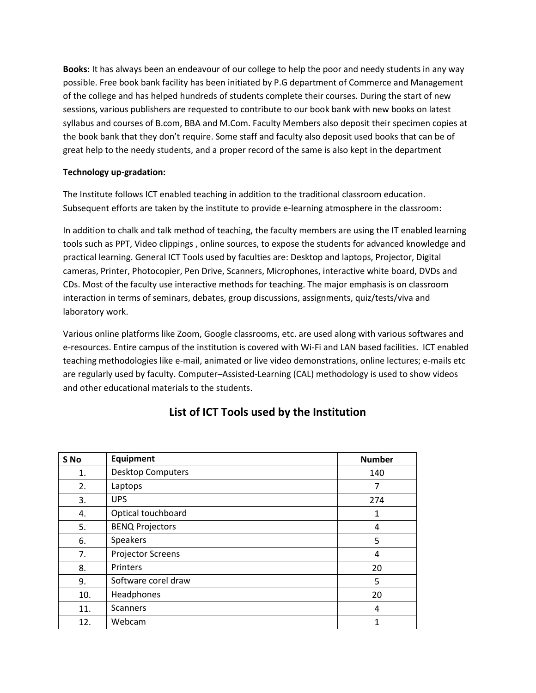**Books**: It has always been an endeavour of our college to help the poor and needy students in any way possible. Free book bank facility has been initiated by P.G department of Commerce and Management of the college and has helped hundreds of students complete their courses. During the start of new sessions, various publishers are requested to contribute to our book bank with new books on latest syllabus and courses of B.com, BBA and M.Com. Faculty Members also deposit their specimen copies at the book bank that they don't require. Some staff and faculty also deposit used books that can be of great help to the needy students, and a proper record of the same is also kept in the department

## **Technology up-gradation:**

The Institute follows ICT enabled teaching in addition to the traditional classroom education. Subsequent efforts are taken by the institute to provide e-learning atmosphere in the classroom:

In addition to chalk and talk method of teaching, the faculty members are using the IT enabled learning tools such as PPT, Video clippings , online sources, to expose the students for advanced knowledge and practical learning. General ICT Tools used by faculties are: Desktop and laptops, Projector, Digital cameras, Printer, Photocopier, Pen Drive, Scanners, Microphones, interactive white board, DVDs and CDs. Most of the faculty use interactive methods for teaching. The major emphasis is on classroom interaction in terms of seminars, debates, group discussions, assignments, quiz/tests/viva and laboratory work.

Various online platforms like Zoom, Google classrooms, etc. are used along with various softwares and e-resources. Entire campus of the institution is covered with Wi-Fi and LAN based facilities. ICT enabled teaching methodologies like e-mail, animated or live video demonstrations, online lectures; e-mails etc are regularly used by faculty. Computer–Assisted-Learning (CAL) methodology is used to show videos and other educational materials to the students.

| S <sub>No</sub> | Equipment                | <b>Number</b> |
|-----------------|--------------------------|---------------|
| 1.              | <b>Desktop Computers</b> | 140           |
| 2.              | Laptops                  | 7             |
| 3.              | <b>UPS</b>               | 274           |
| 4.              | Optical touchboard       | 1             |
| 5.              | <b>BENQ Projectors</b>   | 4             |
| 6.              | Speakers                 | 5             |
| 7.              | <b>Projector Screens</b> | 4             |
| 8.              | Printers                 | 20            |
| 9.              | Software corel draw      | 5             |
| 10.             | Headphones               | 20            |
| 11.             | <b>Scanners</b>          | 4             |
| 12.             | Webcam                   | 1             |

# **List of ICT Tools used by the Institution**